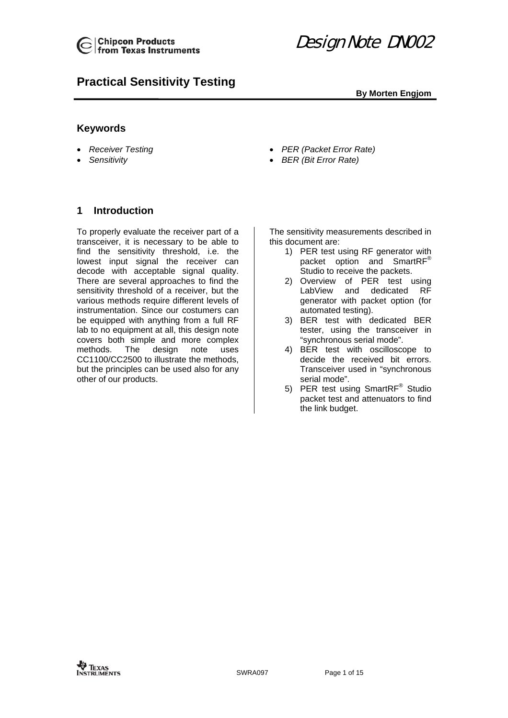

# **Practical Sensitivity Testing**

## **By Morten Engjom**

# <span id="page-0-0"></span>**Keywords**

- *Receiver Testing*
- *Sensitivity*
- *PER (Packet Error Rate)*
- *BER (Bit Error Rate)*

# <span id="page-0-1"></span>**1 Introduction**

To properly evaluate the receiver part of a transceiver, it is necessary to be able to find the sensitivity threshold, i.e. the lowest input signal the receiver can decode with acceptable signal quality. There are several approaches to find the sensitivity threshold of a receiver, but the various methods require different levels of instrumentation. Since our costumers can be equipped with anything from a full RF lab to no equipment at all, this design note covers both simple and more complex methods. The design note uses CC1100/CC2500 to illustrate the methods, but the principles can be used also for any other of our products.

The sensitivity measurements described in this document are:

- 1) PER test using RF generator with packet option and SmartRF® Studio to receive the packets.
- 2) Overview of PER test using LabView and dedicated RF generator with packet option (for automated testing).
- 3) BER test with dedicated BER tester, using the transceiver in "synchronous serial mode".
- 4) BER test with oscilloscope to decide the received bit errors. Transceiver used in "synchronous serial mode".
- 5) PER test using SmartRF<sup>®</sup> Studio packet test and attenuators to find the link budget.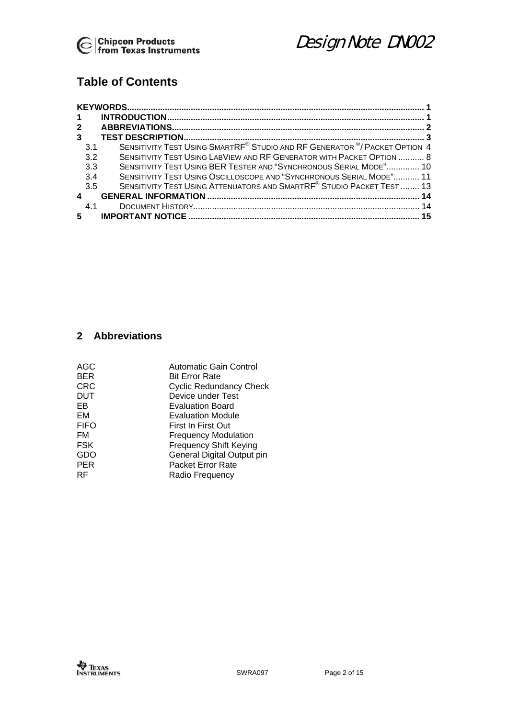

# **Table of Contents**

| $\mathbf 1$    |                                                                            |  |
|----------------|----------------------------------------------------------------------------|--|
| $\overline{2}$ |                                                                            |  |
| 3              |                                                                            |  |
| 3.1            | SENSITIVITY TEST USING SMARTRE® STUDIO AND RF GENERATOR W/ PACKET OPTION 4 |  |
| 3.2            | SENSITIVITY TEST USING LABVIEW AND RF GENERATOR WITH PACKET OPTION  8      |  |
| 3.3            | SENSITIVITY TEST USING BER TESTER AND "SYNCHRONOUS SERIAL MODE" 10         |  |
| 3.4            | SENSITIVITY TEST USING OSCILLOSCOPE AND "SYNCHRONOUS SERIAL MODE" 11       |  |
| 3.5            | SENSITIVITY TEST USING ATTENUATORS AND SMARTRF® STUDIO PACKET TEST  13     |  |
| 4              |                                                                            |  |
| 4.1            |                                                                            |  |
| 5              |                                                                            |  |

# <span id="page-1-0"></span>**2 Abbreviations**

| AGC        | <b>Automatic Gain Control</b>  |
|------------|--------------------------------|
| BER        | <b>Bit Error Rate</b>          |
| CRC        | <b>Cyclic Redundancy Check</b> |
| <b>DUT</b> | Device under Test              |
| EВ         | <b>Evaluation Board</b>        |
| EM         | <b>Evaluation Module</b>       |
| FIFO       | First In First Out             |
| FM         | <b>Frequency Modulation</b>    |
| <b>FSK</b> | <b>Frequency Shift Keying</b>  |
| GDO        | General Digital Output pin     |
| PER        | <b>Packet Error Rate</b>       |
| RF         | Radio Frequency                |
|            |                                |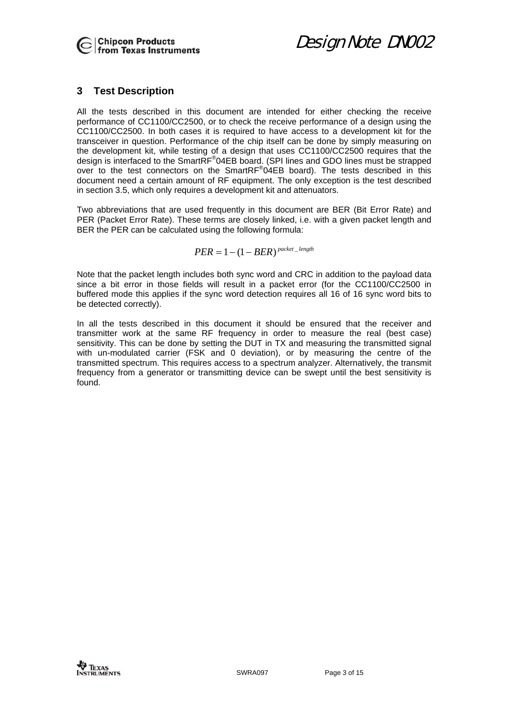

Design Note DN002

# <span id="page-2-0"></span>**3 Test Description**

All the tests described in this document are intended for either checking the receive performance of CC1100/CC2500, or to check the receive performance of a design using the CC1100/CC2500. In both cases it is required to have access to a development kit for the transceiver in question. Performance of the chip itself can be done by simply measuring on the development kit, while testing of a design that uses CC1100/CC2500 requires that the design is interfaced to the SmartRF<sup>®</sup>04EB board. (SPI lines and GDO lines must be strapped over to the test connectors on the SmartRF<sup>®</sup>04EB board). The tests described in this document need a certain amount of RF equipment. The only exception is the test described in section [3.5,](#page-12-0) which only requires a development kit and attenuators.

Two abbreviations that are used frequently in this document are BER (Bit Error Rate) and PER (Packet Error Rate). These terms are closely linked, i.e. with a given packet length and BER the PER can be calculated using the following formula:

$$
PER = 1 - (1 - BER)^{packet\_length}
$$

Note that the packet length includes both sync word and CRC in addition to the payload data since a bit error in those fields will result in a packet error (for the CC1100/CC2500 in buffered mode this applies if the sync word detection requires all 16 of 16 sync word bits to be detected correctly).

In all the tests described in this document it should be ensured that the receiver and transmitter work at the same RF frequency in order to measure the real (best case) sensitivity. This can be done by setting the DUT in TX and measuring the transmitted signal with un-modulated carrier (FSK and 0 deviation), or by measuring the centre of the transmitted spectrum. This requires access to a spectrum analyzer. Alternatively, the transmit frequency from a generator or transmitting device can be swept until the best sensitivity is found.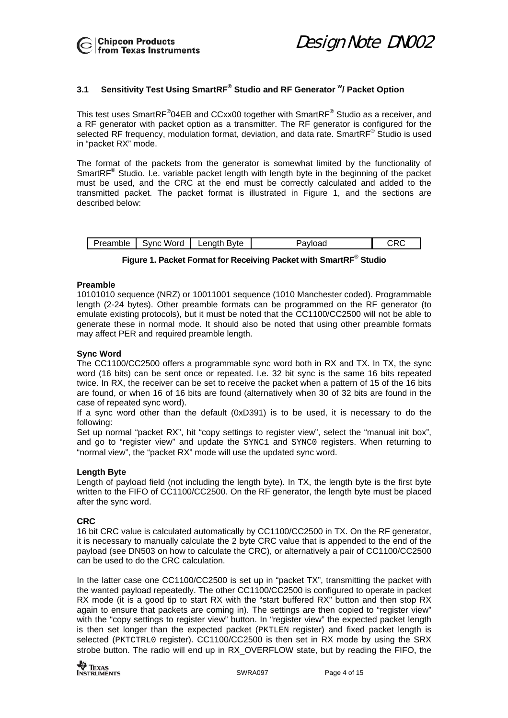#### <span id="page-3-0"></span>**3.1 Sensitivity Test Using SmartRF® Studio and RF Generator w/ Packet Option**

This test uses SmartRF $^{\circ}$ 04EB and CCxx00 together with SmartRF $^{\circ}$  Studio as a receiver, and a RF generator with packet option as a transmitter. The RF generator is configured for the selected RF frequency, modulation format, deviation, and data rate. SmartRF<sup>®</sup> Studio is used in "packet RX" mode.

The format of the packets from the generator is somewhat limited by the functionality of SmartRF<sup>®</sup> Studio. I.e. variable packet length with length byte in the beginning of the packet must be used, and the CRC at the end must be correctly calculated and added to the transmitted packet. The packet format is illustrated in [Figure 1,](#page-3-1) and the sections are described below:

|  | 'reamble | Word<br>$\cdots$<br>.NI | enath<br>Bvte<br>∟en∾ | 1011000<br><b>HVIOdu</b> | -- |
|--|----------|-------------------------|-----------------------|--------------------------|----|
|--|----------|-------------------------|-----------------------|--------------------------|----|

<span id="page-3-1"></span>

|  |  |  |  | Figure 1. Packet Format for Receiving Packet with SmartRF <sup>®</sup> Studio |  |  |
|--|--|--|--|-------------------------------------------------------------------------------|--|--|
|--|--|--|--|-------------------------------------------------------------------------------|--|--|

#### **Preamble**

10101010 sequence (NRZ) or 10011001 sequence (1010 Manchester coded). Programmable length (2-24 bytes). Other preamble formats can be programmed on the RF generator (to emulate existing protocols), but it must be noted that the CC1100/CC2500 will not be able to generate these in normal mode. It should also be noted that using other preamble formats may affect PER and required preamble length.

#### **Sync Word**

The CC1100/CC2500 offers a programmable sync word both in RX and TX. In TX, the sync word (16 bits) can be sent once or repeated. I.e. 32 bit sync is the same 16 bits repeated twice. In RX, the receiver can be set to receive the packet when a pattern of 15 of the 16 bits are found, or when 16 of 16 bits are found (alternatively when 30 of 32 bits are found in the case of repeated sync word).

<span id="page-3-2"></span>If a sync word other than the default (0xD391) is to be used, it is necessary to do the following:

Set up normal "packet RX", hit "copy settings to register view", select the "manual init box", and go to "register view" and update the SYNC1 and SYNC0 registers. When returning to "normal view", the "packet RX" mode will use the updated sync word.

#### **Length Byte**

Length of payload field (not including the length byte). In TX, the length byte is the first byte written to the FIFO of CC1100/CC2500. On the RF generator, the length byte must be placed after the sync word.

#### **CRC**

16 bit CRC value is calculated automatically by CC1100/CC2500 in TX. On the RF generator, it is necessary to manually calculate the 2 byte CRC value that is appended to the end of the payload (see DN503 on how to calculate the CRC), or alternatively a pair of CC1100/CC2500 can be used to do the CRC calculation.

In the latter case one CC1100/CC2500 is set up in "packet TX", transmitting the packet with the wanted payload repeatedly. The other CC1100/CC2500 is configured to operate in packet RX mode (it is a good tip to start RX with the "start buffered RX" button and then stop RX again to ensure that packets are coming in). The settings are then copied to "register view" with the "copy settings to register view" button. In "register view" the expected packet length is then set longer than the expected packet (PKTLEN register) and fixed packet length is selected (PKTCTRL0 register). CC1100/CC2500 is then set in RX mode by using the SRX strobe button. The radio will end up in RX OVERFLOW state, but by reading the FIFO, the

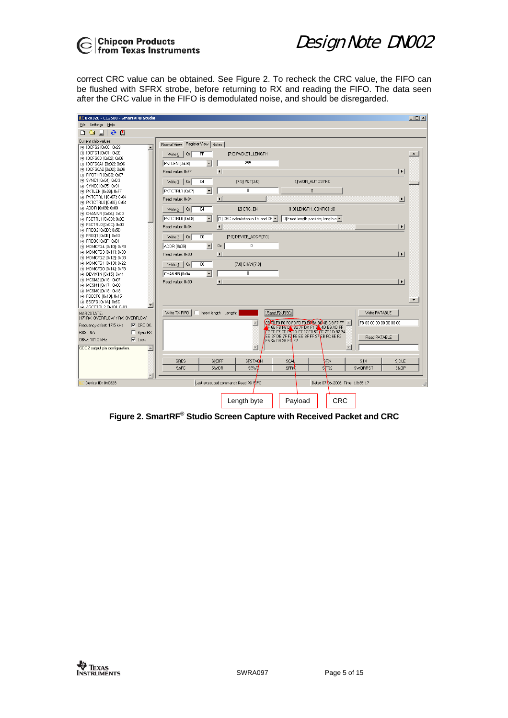

correct CRC value can be obtained. See [Figure 2.](#page-4-0) To recheck the CRC value, the FIFO can be flushed with SFRX strobe, before returning to RX and reading the FIFO. The data seen after the CRC value in the FIFO is demodulated noise, and should be disregarded.

| C 0x0328 - CC2500 - SmartRF® Studio                  |                                                                                                                             | $\Box$ D $\Box$ |
|------------------------------------------------------|-----------------------------------------------------------------------------------------------------------------------------|-----------------|
| File Settings Help                                   |                                                                                                                             |                 |
| 20<br>d Sieil                                        |                                                                                                                             |                 |
| Current chip values:                                 | Register View Notes<br>Normal View                                                                                          |                 |
| E-10CFG2 [0x00]: 0x29<br>$\blacktriangle$            |                                                                                                                             |                 |
| 由-IOCFG1 [0x01]: 0x2E                                | F<br>[7:0] PACKET_LENGTH<br>Ox<br>Write 0                                                                                   |                 |
| 由-IDCFG0D [0x02]: 0x06<br>EI-10CFG0A1 [0x02]: 0x06   | 255<br>$\blacktriangledown$<br>PKTLEN (0x06)                                                                                |                 |
| 由-IOCFG0A2 [0x02]: 0x06                              |                                                                                                                             |                 |
| EI-FIFOTHR [0x03]: 0x07                              | Read value: 0xFF<br>$\blacksquare$<br>$\blacktriangleright$                                                                 |                 |
| E-SYNC1 [0x04]: 0xD3                                 | 04<br>$[7:5]$ PQT $[2:0]$<br>[4] WOR_AUTOSYNC<br>0x<br>Write 1                                                              |                 |
| E-SYNCO [0x05]: 0x91                                 |                                                                                                                             |                 |
| E- PKTLEN [0x06]: 0xFF                               | $\overline{0}$<br>$\overline{\phantom{a}}$<br>PKTCTRL1 (0x07)<br>$\mathbf{0}$                                               |                 |
| E- PKTCTRL1 [0x07]: 0x04<br>EI-PKTCTRL0 [0x08]: 0x04 | Read value: 0x04<br>$\blacktriangleleft$<br>$\blacktriangleright$                                                           |                 |
| 由-ADDR [0x09]: 0x00                                  | 04<br>$[1:0]$ LENGTH CONFIG $[1:0]$                                                                                         |                 |
| E- CHANNR [0x0A]: 0x00                               | [2] CRC_EN<br>0x<br>Write 2                                                                                                 |                 |
| 由-FSCTRL1 [0x0B]: 0x0C                               | [1] CRC calculation in TX and CR v<br>PKTCTRL0 (0x08)<br>$\overline{\phantom{a}}$<br>  (0) Fixed length packets, length c ▼ |                 |
| EI-FSCTRL0 [0x0C]: 0x00                              | Read value: 0x04<br>$\left  \cdot \right $<br>$\overline{ }$                                                                |                 |
| E-FREQ2 [0x0D]: 0x5D                                 |                                                                                                                             |                 |
| 由-FREQ1 [0x0E]: 0x93<br>由- FREQ0 [0x0F]: 0xB1        | 00<br>[7:0] DEVICE_ADDR[7:0]<br>Write 3<br>0x                                                                               |                 |
| EI-MDMCFG4 [0x10]: 0x78                              | $\overline{0}$<br>$\overline{\phantom{a}}$<br>Ox.<br>ADDR (0x09)                                                            |                 |
| E-MDMCFG3 [0x11]: 0x93                               | Read value: 0x00<br>$\left  \cdot \right $<br>$\blacktriangleright$                                                         |                 |
| E-MDMCFG2 [0x12]: 0x03                               |                                                                                                                             |                 |
| EI-MDMCFG1 [0x13]: 0x22                              | 00<br>[7:0] CHAN[7:0]<br>Ox<br>Write $4$                                                                                    |                 |
| EI-MDMCFG0 [0x14]: 0xF8                              | $\overline{0}$<br>$\blacktriangledown$<br>CHANNR (0x0A)                                                                     |                 |
| E-DEVIATN [0x15]: 0x44<br>E-MCSM2 [0x16]: 0x07       |                                                                                                                             |                 |
| 由-MCSM1 [0x17]: 0x00                                 | $\blacktriangleright$<br>Read value: 0x00<br>$\left  \right $                                                               |                 |
| 由-MCSM0 [0x18]: 0x18                                 |                                                                                                                             |                 |
| E-FOCCFG [0x19]: 0x15                                | $\blacktriangledown$                                                                                                        |                 |
| FF-BSCFG f0x1At 0x6C<br>▼                            |                                                                                                                             |                 |
| <b>CLAGCCTRL2 My1RI-0y03</b>                         | [Read RX FIFO]<br>Write TX FIFO<br>Insert length Length:<br>Write PATABLE                                                   |                 |
| MARCSTATE:<br>(17) RX_OVERFLOW / RX_OVERFLOW         |                                                                                                                             |                 |
| $\nabla$ CRC OK<br>Frequency offset: 17.5 kHz        | 08 C FO FO FO FO FO FO FOGA BO4B D9 F7 FF A<br>FB 00 00 00 00 00 00 00                                                      |                 |
| RSSI: NA<br>$\Box$ Sync RX                           | F 6E FB F6 D & B2 7F DA F1 B & 4D B6 AD FF<br>F7 FE F7 CE PT6D F7 77 F0 5C FE 7F 1D 97 7A                                   |                 |
|                                                      | EE 2F DE 7F F7 FE EE BF FF 97 EB FC 6E F2<br>Read PATABLE                                                                   |                 |
| $\nabla$ Lock<br>OBW: 101.2 kHz                      | F5 6A D8 3B FD F2                                                                                                           |                 |
| $\blacktriangle$<br>GD02 output pin configuration.   |                                                                                                                             |                 |
|                                                      |                                                                                                                             |                 |
|                                                      | SRES<br><b>SXOFF</b><br><b>SESTXON</b><br>SCA<br>ŧв×<br>SIX<br>SIDLE                                                        |                 |
|                                                      | <b>SPWD</b><br><b>SFTX</b><br>SAFC<br>SWOR<br><b>SFR&gt;</b><br>SWORRST<br>SNOP                                             |                 |
|                                                      |                                                                                                                             |                 |
| Device ID: 0x0328                                    | Last executed command: Read RX FIFO<br>Date: 07.06.2006, Time: 13:35:17                                                     |                 |
|                                                      |                                                                                                                             |                 |
|                                                      |                                                                                                                             |                 |
|                                                      | <b>CRC</b><br>Length byte<br>Payload                                                                                        |                 |

<span id="page-4-0"></span>**Figure 2. SmartRF® Studio Screen Capture with Received Packet and CRC**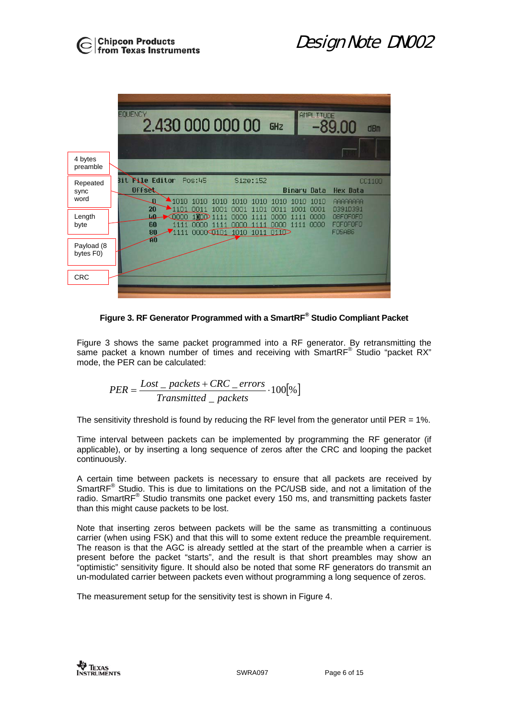|                          | <b>EQUENCY</b><br>AMPLITUDE<br>2.430 000 000 00<br>-89.00<br>GHZ<br>dBm                                                                                                                                                                                                                                                                                                  |
|--------------------------|--------------------------------------------------------------------------------------------------------------------------------------------------------------------------------------------------------------------------------------------------------------------------------------------------------------------------------------------------------------------------|
| 4 bytes<br>preamble      |                                                                                                                                                                                                                                                                                                                                                                          |
| Repeated<br>sync<br>word | Bit Ne Editor<br>Pos:45<br>Size: 152<br>CC1100<br><b>Offset</b><br><b>Binary Data</b><br><b>Hex Data</b><br>$\blacksquare$ 1010<br>1010<br>1010<br>ŋ<br>1010<br>1 <sub>010</sub><br>AAAAAAAA<br>1010<br>1010<br>1010<br>20<br>$-1101$<br>$0011$                                                                                                                          |
| Length<br>byte           | 0001<br>D391D391<br>1001<br>1 <sup>0</sup> 1<br>OOO1<br>0 <sub>011</sub><br>11 <sub>01</sub><br><b>LD</b><br>$\sim$ 0000<br>0000<br>08F0F0F0<br>$1$ nn $\odot$<br>0000<br>1111<br>1111<br>1111<br>oooo<br><b>FOFOFOFO</b><br>60<br>1111<br>1111<br>nnnn<br>1111<br>oooo<br>1111<br>nnn<br>noon<br><b>FO5AB6</b><br>80<br>1111<br>000000101<br>1010<br>1011<br>011D<br>AÓ |
| Payload (8<br>bytes F0)  |                                                                                                                                                                                                                                                                                                                                                                          |
| <b>CRC</b>               |                                                                                                                                                                                                                                                                                                                                                                          |

<span id="page-5-0"></span>**Figure 3. RF Generator Programmed with a SmartRF® Studio Compliant Packet** 

[Figure 3](#page-5-0) shows the same packet programmed into a RF generator. By retransmitting the same packet a known number of times and receiving with SmartRF® Studio "packet RX" mode, the PER can be calculated:

$$
PER = \frac{Cost = packets + CRC\_errors}{Transmitted = packets} \cdot 100[\%]
$$

The sensitivity threshold is found by reducing the RF level from the generator until PER =  $1\%$ .

Time interval between packets can be implemented by programming the RF generator (if applicable), or by inserting a long sequence of zeros after the CRC and looping the packet continuously.

A certain time between packets is necessary to ensure that all packets are received by SmartRF<sup>®</sup> Studio. This is due to limitations on the PC/USB side, and not a limitation of the radio. SmartRF $^{\circ}$  Studio transmits one packet every 150 ms, and transmitting packets faster than this might cause packets to be lost.

Note that inserting zeros between packets will be the same as transmitting a continuous carrier (when using FSK) and that this will to some extent reduce the preamble requirement. The reason is that the AGC is already settled at the start of the preamble when a carrier is present before the packet "starts", and the result is that short preambles may show an "optimistic" sensitivity figure. It should also be noted that some RF generators do transmit an un-modulated carrier between packets even without programming a long sequence of zeros.

The measurement setup for the sensitivity test is shown in [Figure 4.](#page-6-0)

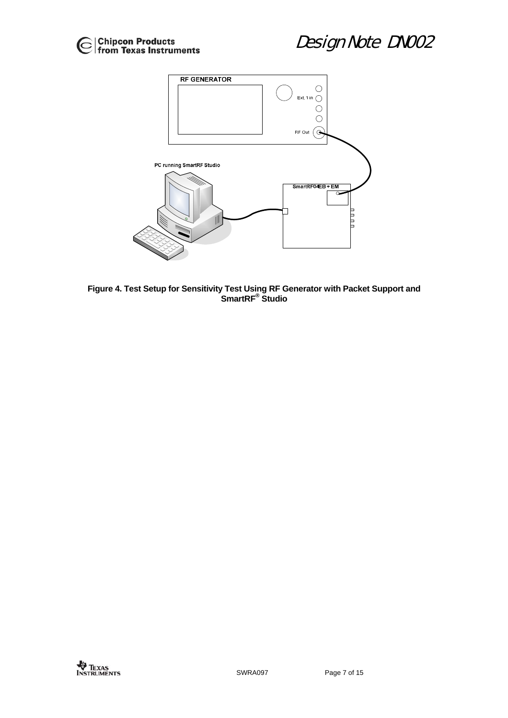

<span id="page-6-0"></span>

**Figure 4. Test Setup for Sensitivity Test Using RF Generator with Packet Support and SmartRF® Studio**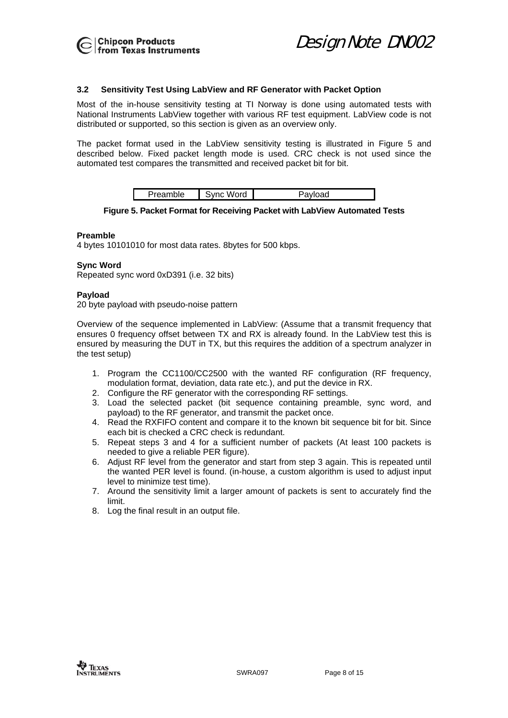

#### <span id="page-7-0"></span>**3.2 Sensitivity Test Using LabView and RF Generator with Packet Option**

Most of the in-house sensitivity testing at TI Norway is done using automated tests with National Instruments LabView together with various RF test equipment. LabView code is not distributed or supported, so this section is given as an overview only.

The packet format used in the LabView sensitivity testing is illustrated in [Figure 5](#page-7-1) and described below. Fixed packet length mode is used. CRC check is not used since the automated test compares the transmitted and received packet bit for bit.

| . . | $\cdot$ $\cdot$<br>--- |  |
|-----|------------------------|--|
|     |                        |  |

<span id="page-7-1"></span>**Figure 5. Packet Format for Receiving Packet with LabView Automated Tests** 

#### **Preamble**

4 bytes 10101010 for most data rates. 8bytes for 500 kbps.

#### **Sync Word**

Repeated sync word 0xD391 (i.e. 32 bits)

#### **Payload**

20 byte payload with pseudo-noise pattern

Overview of the sequence implemented in LabView: (Assume that a transmit frequency that ensures 0 frequency offset between TX and RX is already found. In the LabView test this is ensured by measuring the DUT in TX, but this requires the addition of a spectrum analyzer in the test setup)

- 1. Program the CC1100/CC2500 with the wanted RF configuration (RF frequency, modulation format, deviation, data rate etc.), and put the device in RX.
- 2. Configure the RF generator with the corresponding RF settings.
- 3. Load the selected packet (bit sequence containing preamble, sync word, and payload) to the RF generator, and transmit the packet once.
- 4. Read the RXFIFO content and compare it to the known bit sequence bit for bit. Since each bit is checked a CRC check is redundant.
- 5. Repeat steps 3 and 4 for a sufficient number of packets (At least 100 packets is needed to give a reliable PER figure).
- 6. Adjust RF level from the generator and start from step 3 again. This is repeated until the wanted PER level is found. (in-house, a custom algorithm is used to adjust input level to minimize test time).
- 7. Around the sensitivity limit a larger amount of packets is sent to accurately find the limit.
- 8. Log the final result in an output file.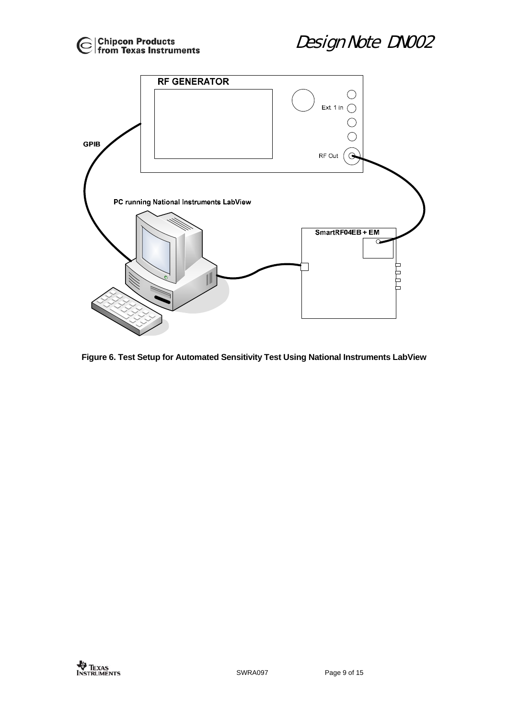



**Figure 6. Test Setup for Automated Sensitivity Test Using National Instruments LabView**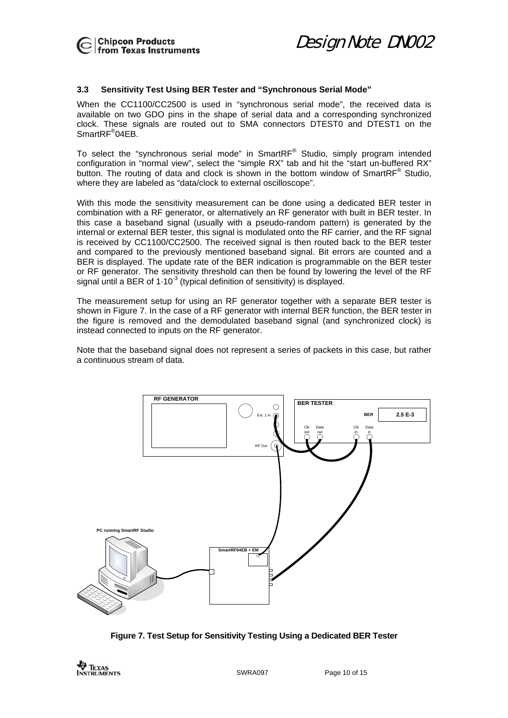

#### <span id="page-9-0"></span>**3.3 Sensitivity Test Using BER Tester and "Synchronous Serial Mode"**

When the CC1100/CC2500 is used in "synchronous serial mode", the received data is available on two GDO pins in the shape of serial data and a corresponding synchronized clock. These signals are routed out to SMA connectors DTEST0 and DTEST1 on the SmartRF<sup>®</sup>04EB.

To select the "synchronous serial mode" in SmartRF<sup>®</sup> Studio, simply program intended configuration in "normal view", select the "simple RX" tab and hit the "start un-buffered RX" button. The routing of data and clock is shown in the bottom window of SmartRF<sup>®</sup> Studio, where they are labeled as "data/clock to external oscilloscope".

With this mode the sensitivity measurement can be done using a dedicated BER tester in combination with a RF generator, or alternatively an RF generator with built in BER tester. In this case a baseband signal (usually with a pseudo-random pattern) is generated by the internal or external BER tester, this signal is modulated onto the RF carrier, and the RF signal is received by CC1100/CC2500. The received signal is then routed back to the BER tester and compared to the previously mentioned baseband signal. Bit errors are counted and a BER is displayed. The update rate of the BER indication is programmable on the BER tester or RF generator. The sensitivity threshold can then be found by lowering the level of the RF signal until a BER of  $1.10<sup>3</sup>$  (typical definition of sensitivity) is displayed.

The measurement setup for using an RF generator together with a separate BER tester is shown in [Figure 7.](#page-9-1) In the case of a RF generator with internal BER function, the BER tester in the figure is removed and the demodulated baseband signal (and synchronized clock) is instead connected to inputs on the RF generator.

Note that the baseband signal does not represent a series of packets in this case, but rather a continuous stream of data.

<span id="page-9-1"></span>

**Figure 7. Test Setup for Sensitivity Testing Using a Dedicated BER Tester** 

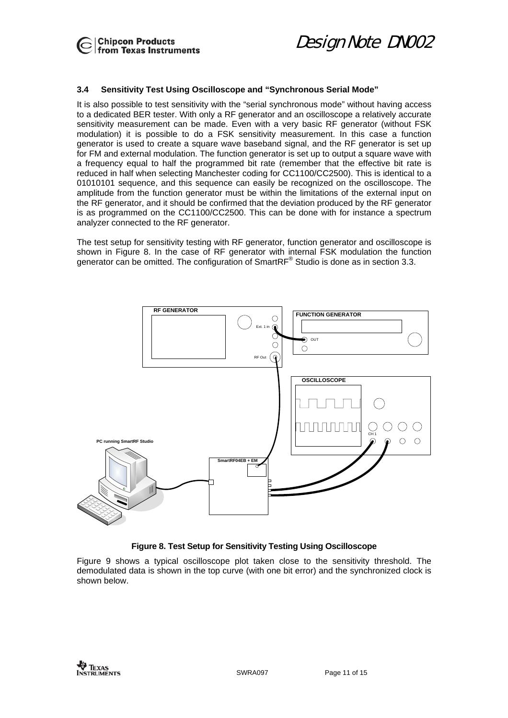

**Chipcon Products**<br> *Design Note DN002*<br> **from Texas Instruments** 

#### <span id="page-10-0"></span>**3.4 Sensitivity Test Using Oscilloscope and "Synchronous Serial Mode"**

It is also possible to test sensitivity with the "serial synchronous mode" without having access to a dedicated BER tester. With only a RF generator and an oscilloscope a relatively accurate sensitivity measurement can be made. Even with a very basic RF generator (without FSK modulation) it is possible to do a FSK sensitivity measurement. In this case a function generator is used to create a square wave baseband signal, and the RF generator is set up for FM and external modulation. The function generator is set up to output a square wave with a frequency equal to half the programmed bit rate (remember that the effective bit rate is reduced in half when selecting Manchester coding for CC1100/CC2500). This is identical to a 01010101 sequence, and this sequence can easily be recognized on the oscilloscope. The amplitude from the function generator must be within the limitations of the external input on the RF generator, and it should be confirmed that the deviation produced by the RF generator is as programmed on the CC1100/CC2500. This can be done with for instance a spectrum analyzer connected to the RF generator.

The test setup for sensitivity testing with RF generator, function generator and oscilloscope is shown in [Figure 8.](#page-10-1) In the case of RF generator with internal FSK modulation the function generator can be omitted. The configuration of SmartRF® Studio is done as in section [3.3.](#page-9-0)

<span id="page-10-1"></span>

#### **Figure 8. Test Setup for Sensitivity Testing Using Oscilloscope**

[Figure 9](#page-11-0) shows a typical oscilloscope plot taken close to the sensitivity threshold. The demodulated data is shown in the top curve (with one bit error) and the synchronized clock is shown below.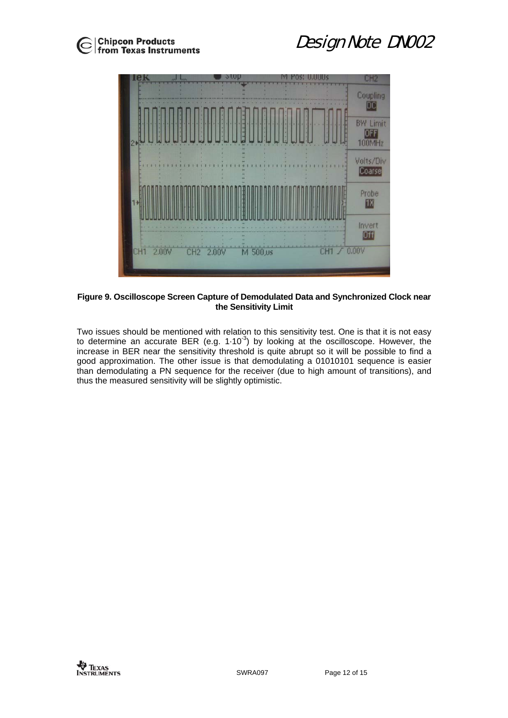

<span id="page-11-0"></span>

#### **Figure 9. Oscilloscope Screen Capture of Demodulated Data and Synchronized Clock near the Sensitivity Limit**

Two issues should be mentioned with relation to this sensitivity test. One is that it is not easy to determine an accurate BER (e.g.  $1.10^{-3}$ ) by looking at the oscilloscope. However, the increase in BER near the sensitivity threshold is quite abrupt so it will be possible to find a good approximation. The other issue is that demodulating a 01010101 sequence is easier than demodulating a PN sequence for the receiver (due to high amount of transitions), and thus the measured sensitivity will be slightly optimistic.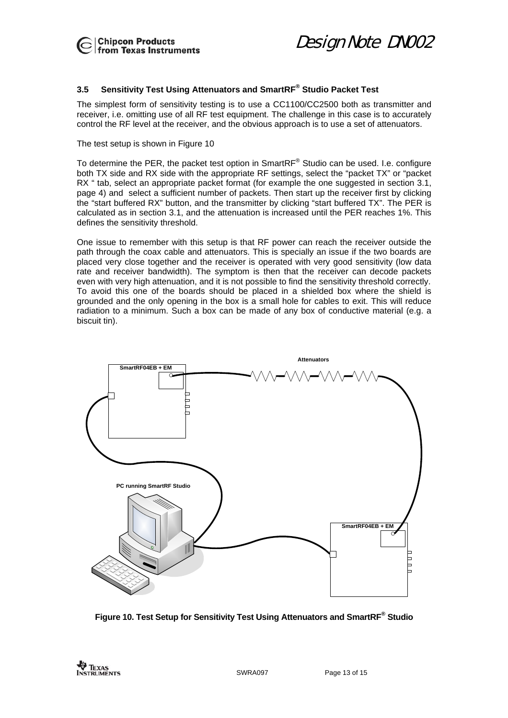

**Chipcon Products**<br> *Design Note DN002*<br> **from Texas Instruments** 

### <span id="page-12-0"></span>**3.5 Sensitivity Test Using Attenuators and SmartRF® Studio Packet Test**

The simplest form of sensitivity testing is to use a CC1100/CC2500 both as transmitter and receiver, i.e. omitting use of all RF test equipment. The challenge in this case is to accurately control the RF level at the receiver, and the obvious approach is to use a set of attenuators.

The test setup is shown in [Figure 10](#page-12-1) 

To determine the PER, the packet test option in SmartRF $^{\circ}$  Studio can be used. I.e. configure both TX side and RX side with the appropriate RF settings, select the "packet TX" or "packet RX " tab, select an appropriate packet format (for example the one suggested in section [3.1,](#page-3-0) page [4\)](#page-3-0) and select a sufficient number of packets. Then start up the receiver first by clicking the "start buffered RX" button, and the transmitter by clicking "start buffered TX". The PER is calculated as in section [3.1,](#page-3-2) and the attenuation is increased until the PER reaches 1%. This defines the sensitivity threshold.

One issue to remember with this setup is that RF power can reach the receiver outside the path through the coax cable and attenuators. This is specially an issue if the two boards are placed very close together and the receiver is operated with very good sensitivity (low data rate and receiver bandwidth). The symptom is then that the receiver can decode packets even with very high attenuation, and it is not possible to find the sensitivity threshold correctly. To avoid this one of the boards should be placed in a shielded box where the shield is grounded and the only opening in the box is a small hole for cables to exit. This will reduce radiation to a minimum. Such a box can be made of any box of conductive material (e.g. a biscuit tin).

<span id="page-12-1"></span>

**Figure 10. Test Setup for Sensitivity Test Using Attenuators and SmartRF® Studio**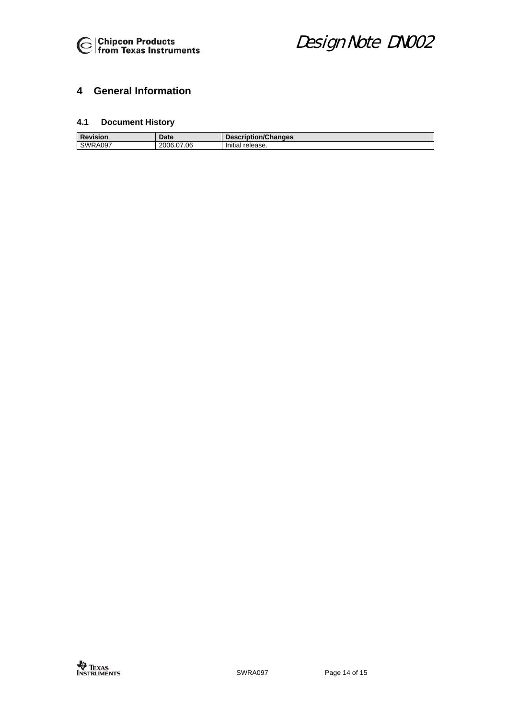

# <span id="page-13-0"></span>**4 General Information**

### <span id="page-13-1"></span>**4.1 Document History**

| Revision       | Date       | Description/Changes |
|----------------|------------|---------------------|
| <b>SWRA097</b> | 2006.07.06 | Initial release.    |